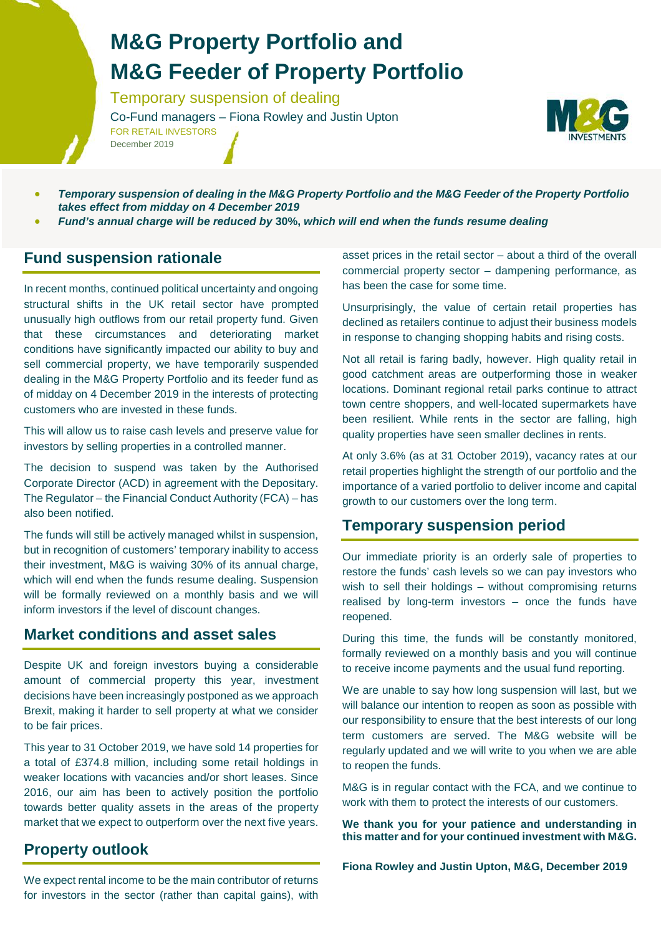## **M&G Property Portfolio and M&G Feeder of Property Portfolio**

Temporary suspension of dealing

Co-Fund managers – Fiona Rowley and Justin Upton FOR RETAIL INVESTORS



• *Temporary suspension of dealing in the M&G Property Portfolio and the M&G Feeder of the Property Portfolio takes effect from midday on 4 December 2019*

• *Fund's annual charge will be reduced by* **30%,** *which will end when the funds resume dealing*

### **Fund suspension rationale**

December 2019

In recent months, continued political uncertainty and ongoing structural shifts in the UK retail sector have prompted unusually high outflows from our retail property fund. Given that these circumstances and deteriorating market conditions have significantly impacted our ability to buy and sell commercial property, we have temporarily suspended dealing in the M&G Property Portfolio and its feeder fund as of midday on 4 December 2019 in the interests of protecting customers who are invested in these funds.

This will allow us to raise cash levels and preserve value for investors by selling properties in a controlled manner.

The decision to suspend was taken by the Authorised Corporate Director (ACD) in agreement with the Depositary. The Regulator – the Financial Conduct Authority (FCA) – has also been notified.

The funds will still be actively managed whilst in suspension, but in recognition of customers' temporary inability to access their investment, M&G is waiving 30% of its annual charge, which will end when the funds resume dealing. Suspension will be formally reviewed on a monthly basis and we will inform investors if the level of discount changes.

#### **Market conditions and asset sales**

Despite UK and foreign investors buying a considerable amount of commercial property this year, investment decisions have been increasingly postponed as we approach Brexit, making it harder to sell property at what we consider to be fair prices.

This year to 31 October 2019, we have sold 14 properties for a total of £374.8 million, including some retail holdings in weaker locations with vacancies and/or short leases. Since 2016, our aim has been to actively position the portfolio towards better quality assets in the areas of the property market that we expect to outperform over the next five years.

### **Property outlook**

asset prices in the retail sector – about a third of the overall commercial property sector – dampening performance, as has been the case for some time.

Unsurprisingly, the value of certain retail properties has declined as retailers continue to adjust their business models in response to changing shopping habits and rising costs.

Not all retail is faring badly, however. High quality retail in good catchment areas are outperforming those in weaker locations. Dominant regional retail parks continue to attract town centre shoppers, and well-located supermarkets have been resilient. While rents in the sector are falling, high quality properties have seen smaller declines in rents.

At only 3.6% (as at 31 October 2019), vacancy rates at our retail properties highlight the strength of our portfolio and the importance of a varied portfolio to deliver income and capital growth to our customers over the long term.

### **Temporary suspension period**

Our immediate priority is an orderly sale of properties to restore the funds' cash levels so we can pay investors who wish to sell their holdings – without compromising returns realised by long-term investors – once the funds have reopened.

During this time, the funds will be constantly monitored, formally reviewed on a monthly basis and you will continue to receive income payments and the usual fund reporting.

We are unable to say how long suspension will last, but we will balance our intention to reopen as soon as possible with our responsibility to ensure that the best interests of our long term customers are served. The M&G website will be regularly updated and we will write to you when we are able to reopen the funds.

M&G is in regular contact with the FCA, and we continue to work with them to protect the interests of our customers.

**We thank you for your patience and understanding in this matter and for your continued investment with M&G.**

**Fiona Rowley and Justin Upton, M&G, December 2019**

We expect rental income to be the main contributor of returns for investors in the sector (rather than capital gains), with